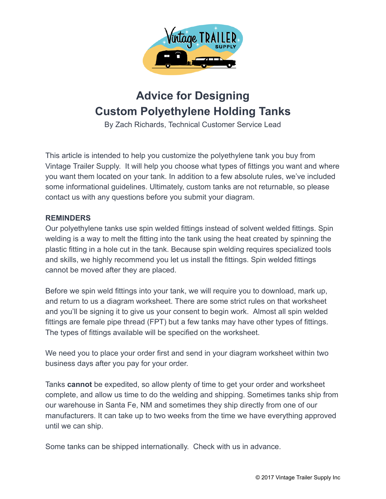

# Advice for Designing Custom Polyethylene Holding Tanks

By Zach Richards, Technical Customer Service Lead

This article is intended to help you customize the polyethylene tank you buy from Vintage Trailer Supply. It will help you choose what types of fittings you want and where you want them located on your tank. In addition to a few absolute rules, we've included some informational guidelines. Ultimately, custom tanks are not returnable, so please contact us with any questions before you submit your diagram.

#### **REMINDERS**

Our polyethylene tanks use spin welded fittings instead of solvent welded fittings. Spin welding is a way to melt the fitting into the tank using the heat created by spinning the plastic fitting in a hole cut in the tank. Because spin welding requires specialized tools and skills, we highly recommend you let us install the fittings. Spin welded fittings cannot be moved after they are placed.

Before we spin weld fittings into your tank, we will require you to download, mark up, and return to us a diagram worksheet. There are some strict rules on that worksheet and you'll be signing it to give us your consent to begin work. Almost all spin welded fittings are female pipe thread (FPT) but a few tanks may have other types of fittings. The types of fittings available will be specified on the worksheet.

We need you to place your order first and send in your diagram worksheet within two business days after you pay for your order.

Tanks cannot be expedited, so allow plenty of time to get your order and worksheet complete, and allow us time to do the welding and shipping. Sometimes tanks ship from our warehouse in Santa Fe, NM and sometimes they ship directly from one of our manufacturers. It can take up to two weeks from the time we have everything approved until we can ship.

Some tanks can be shipped internationally. Check with us in advance.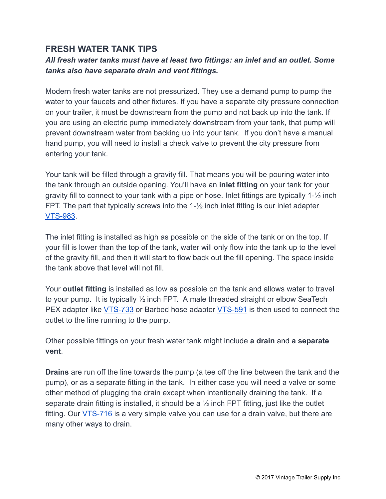## FRESH WATER TANK TIPS

## All fresh water tanks must have at least two fittings: an inlet and an outlet. Some tanks also have separate drain and vent fittings.

Modern fresh water tanks are not pressurized. They use a demand pump to pump the water to your faucets and other fixtures. If you have a separate city pressure connection on your trailer, it must be downstream from the pump and not back up into the tank. If you are using an electric pump immediately downstream from your tank, that pump will prevent downstream water from backing up into your tank. If you don't have a manual hand pump, you will need to install a check valve to prevent the city pressure from entering your tank.

Your tank will be filled through a gravity fill. That means you will be pouring water into the tank through an outside opening. You'll have an inlet fitting on your tank for your gravity fill to connect to your tank with a pipe or hose. Inlet fittings are typically 1-½ inch FPT. The part that typically screws into the 1-½ inch inlet fitting is our inlet adapter [VTS-983](http://www.vintagetrailersupply.com/Fill-Hose-to-Tank-Adapter-p/vts-983.htm) .

The inlet fitting is installed as high as possible on the side of the tank or on the top. If your fill is lower than the top of the tank, water will only flow into the tank up to the level of the gravity fill, and then it will start to flow back out the fill opening. The space inside the tank above that level will not fill.

Your **outlet fitting** is installed as low as possible on the tank and allows water to travel to your pump. It is typically ½ inch FPT. A male threaded straight or elbow SeaTech PEX adapter like [VTS-733](http://www.vintagetrailersupply.com/SeaTech-1-2-x-1-2-MPT-p/vts-733.htm) or Barbed hose adapter [VTS-591](http://www.vintagetrailersupply.com/1-2-MPT-Adapter-p/vts-591.htm) is then used to connect the outlet to the line running to the pump.

Other possible fittings on your fresh water tank might include a drain and a separate vent.

Drains are run off the line towards the pump (a tee off the line between the tank and the pump), or as a separate fitting in the tank. In either case you will need a valve or some other method of plugging the drain except when intentionally draining the tank. If a separate drain fitting is installed, it should be a  $\frac{1}{2}$  inch FPT fitting, just like the outlet fitting. Our [VTS-716](http://www.vintagetrailersupply.com/Drain-Valve-3-8-MPT-or-1-2-MPT-p/vts-716.htm) is a very simple valve you can use for a drain valve, but there are many other ways to drain.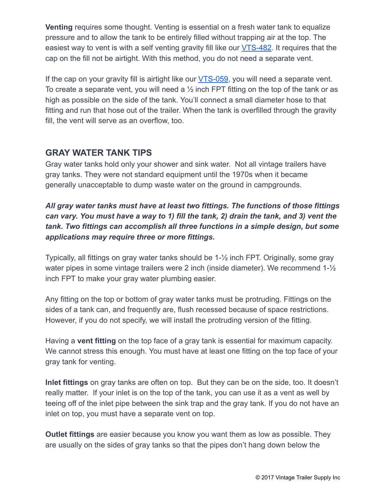Venting requires some thought. Venting is essential on a fresh water tank to equalize pressure and to allow the tank to be entirely filled without trapping air at the top. The easiest way to vent is with a self venting gravity fill like our **VTS-482**. It requires that the cap on the fill not be airtight. With this method, you do not need a separate vent.

If the cap on your gravity fill is airtight like our  $VTS-059$ , you will need a separate vent. To create a separate vent, you will need a  $\frac{1}{2}$  inch FPT fitting on the top of the tank or as high as possible on the side of the tank. You'll connect a small diameter hose to that fitting and run that hose out of the trailer. When the tank is overfilled through the gravity fill, the vent will serve as an overflow, too.

# GRAY WATER TANK TIPS

Gray water tanks hold only your shower and sink water. Not all vintage trailers have gray tanks. They were not standard equipment until the 1970s when it became generally unacceptable to dump waste water on the ground in campgrounds.

All gray water tanks must have at least two fittings. The functions of those fittings can vary. You must have a way to 1) fill the tank, 2) drain the tank, and 3) vent the tank. Two fittings can accomplish all three functions in a simple design, but some applications may require three or more fittings.

Typically, all fittings on gray water tanks should be 1-½ inch FPT. Originally, some gray water pipes in some vintage trailers were 2 inch (inside diameter). We recommend 1-<sup>1</sup>/<sub>2</sub> inch FPT to make your gray water plumbing easier.

Any fitting on the top or bottom of gray water tanks must be protruding. Fittings on the sides of a tank can, and frequently are, flush recessed because of space restrictions. However, if you do not specify, we will install the protruding version of the fitting.

Having a vent fitting on the top face of a gray tank is essential for maximum capacity. We cannot stress this enough. You must have at least one fitting on the top face of your gray tank for venting.

Inlet fittings on gray tanks are often on top. But they can be on the side, too. It doesn't really matter. If your inlet is on the top of the tank, you can use it as a vent as well by teeing off of the inlet pipe between the sink trap and the gray tank. If you do not have an inlet on top, you must have a separate vent on top.

Outlet fittings are easier because you know you want them as low as possible. They are usually on the sides of gray tanks so that the pipes don't hang down below the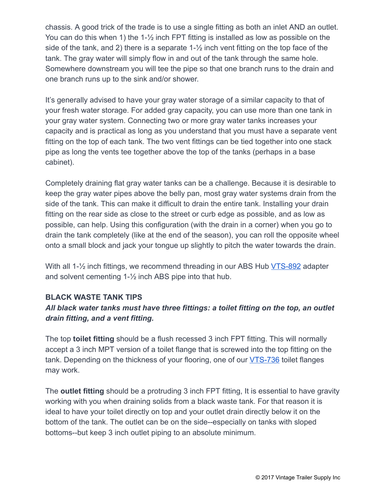chassis. A good trick of the trade is to use a single fitting as both an inlet AND an outlet. You can do this when 1) the  $1-\frac{1}{2}$  inch FPT fitting is installed as low as possible on the side of the tank, and 2) there is a separate  $1-\frac{1}{2}$  inch vent fitting on the top face of the tank. The gray water will simply flow in and out of the tank through the same hole. Somewhere downstream you will tee the pipe so that one branch runs to the drain and one branch runs up to the sink and/or shower.

It's generally advised to have your gray water storage of a similar capacity to that of your fresh water storage. For added gray capacity, you can use more than one tank in your gray water system. Connecting two or more gray water tanks increases your capacity and is practical as long as you understand that you must have a separate vent fitting on the top of each tank. The two vent fittings can be tied together into one stack pipe as long the vents tee together above the top of the tanks (perhaps in a base cabinet).

Completely draining flat gray water tanks can be a challenge. Because it is desirable to keep the gray water pipes above the belly pan, most gray water systems drain from the side of the tank. This can make it difficult to drain the entire tank. Installing your drain fitting on the rear side as close to the street or curb edge as possible, and as low as possible, can help. Using this configuration (with the drain in a corner) when you go to drain the tank completely (like at the end of the season), you can roll the opposite wheel onto a small block and jack your tongue up slightly to pitch the water towards the drain.

With all 1-<sup>1</sup>/<sub>2</sub> inch fittings, we recommend threading in our ABS Hub [VTS-892](http://www.vintagetrailersupply.com/1-1-2-HUB-x-MPT-ABS-ADAPTER-p/vts-892.htm) adapter and solvent cementing 1-½ inch ABS pipe into that hub.

#### BLACK WASTE TANK TIPS

## All black water tanks must have three fittings: a toilet fitting on the top, an outlet drain fitting, and a vent fitting.

The top toilet fitting should be a flush recessed 3 inch FPT fitting. This will normally accept a 3 inch MPT version of a toilet flange that is screwed into the top fitting on the tank. Depending on the thickness of your flooring, one of our [VTS-736](http://www.vintagetrailersupply.com/Toilet-Floor-Flanges-p/vts-736.htm) toilet flanges may work.

The **outlet fitting** should be a protruding 3 inch FPT fitting, It is essential to have gravity working with you when draining solids from a black waste tank. For that reason it is ideal to have your toilet directly on top and your outlet drain directly below it on the bottom of the tank. The outlet can be on the side--especially on tanks with sloped bottoms--but keep 3 inch outlet piping to an absolute minimum.